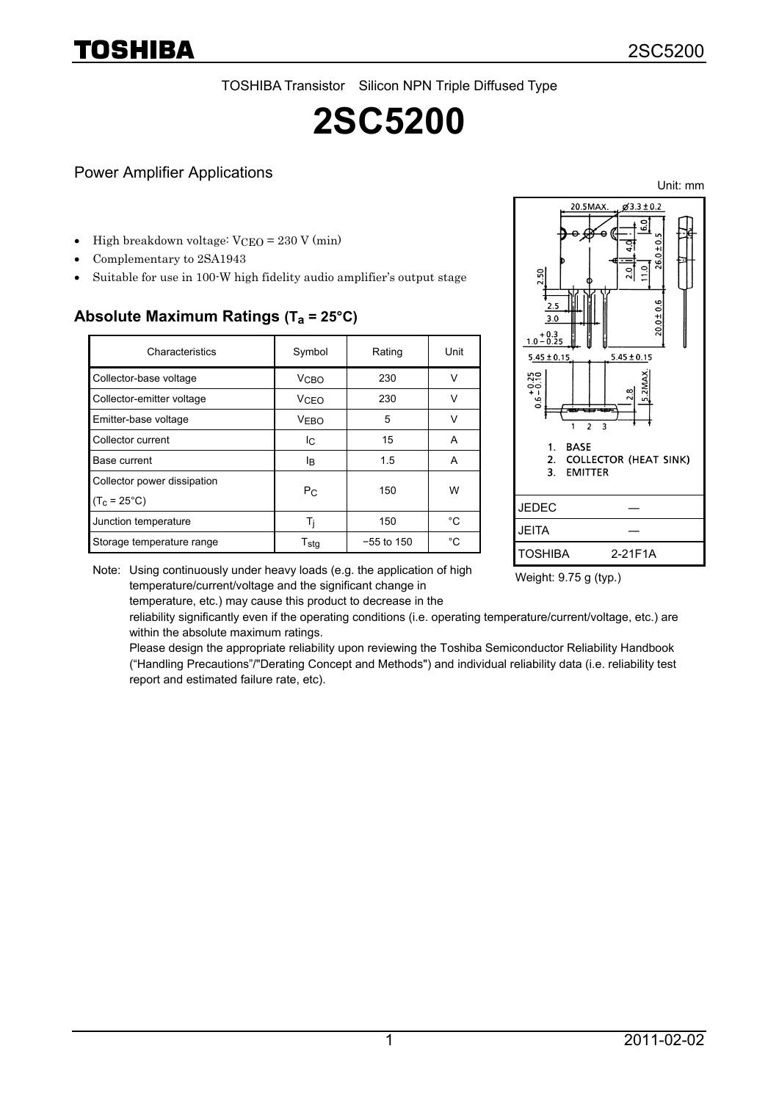TOSHIBA Transistor Silicon NPN Triple Diffused Type

# **2SC5200**

#### Power Amplifier Applications

High breakdown voltage:  $VCEO = 230 V (min)$ 

- Complementary to 2SA1943
- Suitable for use in 100-W high fidelity audio amplifier's output stage

### **Absolute Maximum Ratings (Ta = 25°C)**

| Characteristics             | Symbol                 | Rating       | Unit         |  |
|-----------------------------|------------------------|--------------|--------------|--|
| Collector-base voltage      | V <sub>CBO</sub>       | 230          |              |  |
| Collector-emitter voltage   | <b>V<sub>CEO</sub></b> | 230          | $\mathsf{v}$ |  |
| Emitter-base voltage        | <b>VEBO</b>            | 5            | $\mathsf{v}$ |  |
| Collector current           | Ιc                     | 15           | A            |  |
| Base current                | lB.                    | 1.5          | A            |  |
| Collector power dissipation |                        | 150          | W            |  |
| $(T_c = 25^{\circ}C)$       | $P_{C}$                |              |              |  |
| Junction temperature        | Ti                     | 150          | °C           |  |
| Storage temperature range   | T <sub>sta</sub>       | $-55$ to 150 | °C.          |  |



Weight: 9.75 g (typ.)

Note: Using continuously under heavy loads (e.g. the application of high temperature/current/voltage and the significant change in

temperature, etc.) may cause this product to decrease in the

reliability significantly even if the operating conditions (i.e. operating temperature/current/voltage, etc.) are within the absolute maximum ratings.

Please design the appropriate reliability upon reviewing the Toshiba Semiconductor Reliability Handbook ("Handling Precautions"/"Derating Concept and Methods") and individual reliability data (i.e. reliability test report and estimated failure rate, etc).

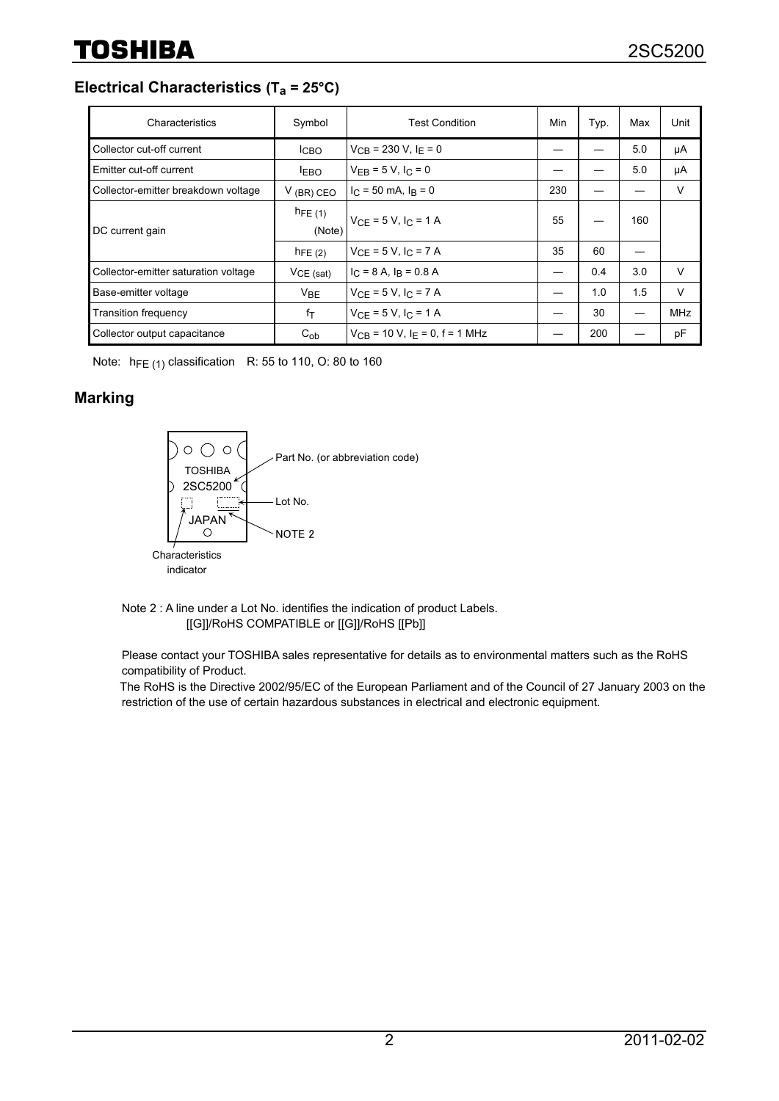**Electrical Characteristics (Ta = 25°C)**

| Characteristics                      | Symbol                | <b>Test Condition</b>                          | Min | Typ. | Max | Unit       |
|--------------------------------------|-----------------------|------------------------------------------------|-----|------|-----|------------|
| Collector cut-off current            | <b>ICBO</b>           | $V_{CR}$ = 230 V, $I_F$ = 0                    |     |      | 5.0 | μA         |
| <b>Emitter cut-off current</b>       | <b>LEBO</b>           | $V_{FR} = 5 V, I_C = 0$                        |     |      | 5.0 | μA         |
| Collector-emitter breakdown voltage  | $V$ (BR) CEO          | $I_C = 50$ mA, $I_R = 0$                       | 230 |      |     | V          |
| DC current gain                      | $h_{FE(1)}$<br>(Note) | $V_{CE} = 5 V, I_C = 1 A$                      | 55  |      | 160 |            |
|                                      | $h_{FE(2)}$           | $V_{CF} = 5 V, I_C = 7 A$                      | 35  | 60   |     |            |
| Collector-emitter saturation voltage | $VCE$ (sat)           | $I_C = 8$ A, $I_R = 0.8$ A                     |     | 0.4  | 3.0 | V          |
| Base-emitter voltage                 | V <sub>BE</sub>       | $V_{CF} = 5 V, I_C = 7 A$                      |     | 1.0  | 1.5 | V          |
| <b>Transition frequency</b>          | fτ                    | $V_{CF} = 5 V, I_C = 1 A$                      |     | 30   |     | <b>MHz</b> |
| Collector output capacitance         | $C_{ob}$              | $V_{CB}$ = 10 V, I <sub>F</sub> = 0, f = 1 MHz |     | 200  |     | pF         |

Note:  $h_{FE(1)}$  classification R: 55 to 110, O: 80 to 160

#### **Marking**



Note 2 : A line under a Lot No. identifies the indication of product Labels. [[G]]/RoHS COMPATIBLE or [[G]]/RoHS [[Pb]]

Please contact your TOSHIBA sales representative for details as to environmental matters such as the RoHS compatibility of Product.

The RoHS is the Directive 2002/95/EC of the European Parliament and of the Council of 27 January 2003 on the restriction of the use of certain hazardous substances in electrical and electronic equipment.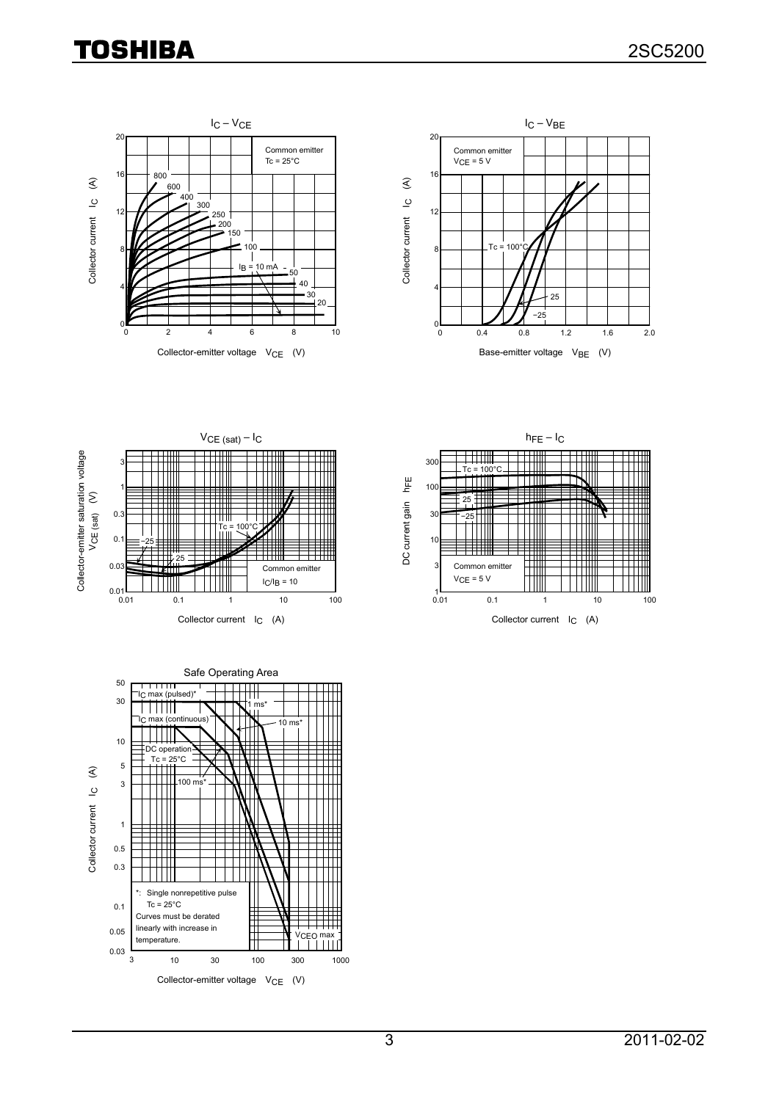# **TOSHIBA**